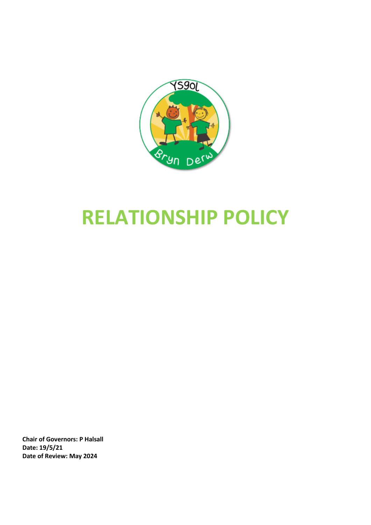

# **RELATIONSHIP POLICY**

**Chair of Governors: P Halsall Date: 19/5/21 Date of Review: May 2024**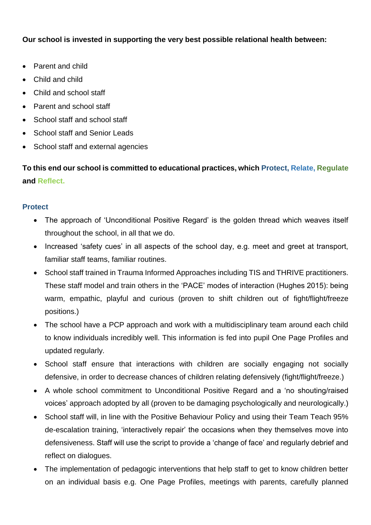## **Our school is invested in supporting the very best possible relational health between:**

- Parent and child
- Child and child
- Child and school staff
- Parent and school staff
- School staff and school staff
- School staff and Senior Leads
- School staff and external agencies

# **To this end our school is committed to educational practices, which Protect, Relate, Regulate and Reflect.**

### **Protect**

- The approach of 'Unconditional Positive Regard' is the golden thread which weaves itself throughout the school, in all that we do.
- Increased 'safety cues' in all aspects of the school day, e.g. meet and greet at transport, familiar staff teams, familiar routines.
- School staff trained in Trauma Informed Approaches including TIS and THRIVE practitioners. These staff model and train others in the 'PACE' modes of interaction (Hughes 2015): being warm, empathic, playful and curious (proven to shift children out of fight/flight/freeze positions.)
- The school have a PCP approach and work with a multidisciplinary team around each child to know individuals incredibly well. This information is fed into pupil One Page Profiles and updated regularly.
- School staff ensure that interactions with children are socially engaging not socially defensive, in order to decrease chances of children relating defensively (fight/flight/freeze.)
- A whole school commitment to Unconditional Positive Regard and a 'no shouting/raised voices' approach adopted by all (proven to be damaging psychologically and neurologically.)
- School staff will, in line with the Positive Behaviour Policy and using their Team Teach 95% de-escalation training, 'interactively repair' the occasions when they themselves move into defensiveness. Staff will use the script to provide a 'change of face' and regularly debrief and reflect on dialogues.
- The implementation of pedagogic interventions that help staff to get to know children better on an individual basis e.g. One Page Profiles, meetings with parents, carefully planned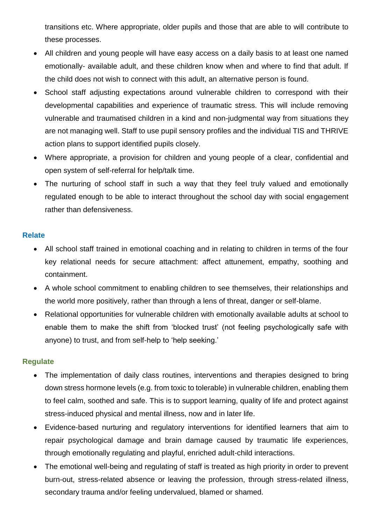transitions etc. Where appropriate, older pupils and those that are able to will contribute to these processes.

- All children and young people will have easy access on a daily basis to at least one named emotionally- available adult, and these children know when and where to find that adult. If the child does not wish to connect with this adult, an alternative person is found.
- School staff adjusting expectations around vulnerable children to correspond with their developmental capabilities and experience of traumatic stress. This will include removing vulnerable and traumatised children in a kind and non-judgmental way from situations they are not managing well. Staff to use pupil sensory profiles and the individual TIS and THRIVE action plans to support identified pupils closely.
- Where appropriate, a provision for children and young people of a clear, confidential and open system of self-referral for help/talk time.
- The nurturing of school staff in such a way that they feel truly valued and emotionally regulated enough to be able to interact throughout the school day with social engagement rather than defensiveness.

### **Relate**

- All school staff trained in emotional coaching and in relating to children in terms of the four key relational needs for secure attachment: affect attunement, empathy, soothing and containment.
- A whole school commitment to enabling children to see themselves, their relationships and the world more positively, rather than through a lens of threat, danger or self-blame.
- Relational opportunities for vulnerable children with emotionally available adults at school to enable them to make the shift from 'blocked trust' (not feeling psychologically safe with anyone) to trust, and from self-help to 'help seeking.'

#### **Regulate**

- The implementation of daily class routines, interventions and therapies designed to bring down stress hormone levels (e.g. from toxic to tolerable) in vulnerable children, enabling them to feel calm, soothed and safe. This is to support learning, quality of life and protect against stress-induced physical and mental illness, now and in later life.
- Evidence-based nurturing and regulatory interventions for identified learners that aim to repair psychological damage and brain damage caused by traumatic life experiences, through emotionally regulating and playful, enriched adult-child interactions.
- The emotional well-being and regulating of staff is treated as high priority in order to prevent burn-out, stress-related absence or leaving the profession, through stress-related illness, secondary trauma and/or feeling undervalued, blamed or shamed.